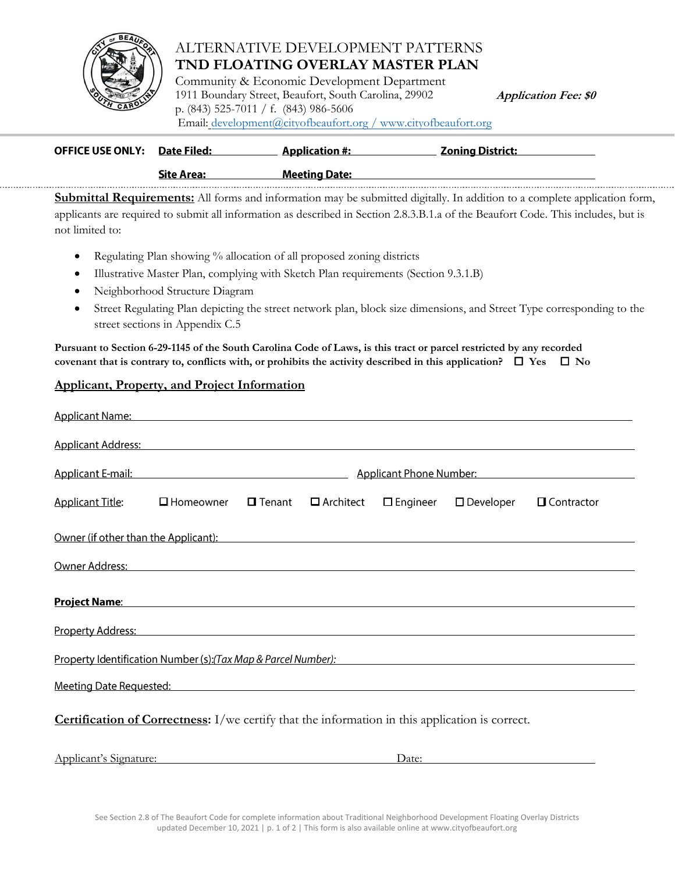

## ALTERNATIVE DEVELOPMENT PATTERNS **TND FLOATING OVERLAY MASTER PLAN**

Community & Economic Development Department 1911 Boundary Street, Beaufort, South Carolina, 29902 **Application Fee: \$0** p. (843) 525-7011 / f. (843) 986-5606 [Email: development@cit](http://www.cityofbeaufort.org/)yofbeaufort.org / www.cityofbeaufort.org

| <b>OFFICE USE ONLY:</b> | Date Filed:       | <b>Application #:</b> | <u> Zoning District:</u> |  |
|-------------------------|-------------------|-----------------------|--------------------------|--|
|                         | <b>Site Area:</b> | <b>Meeting Date:</b>  |                          |  |
|                         |                   |                       |                          |  |

**Submittal Requirements:** All forms and information may be submitted digitally. In addition to a complete application form, applicants are required to submit all information as described in Section 2.8.3.B.1.a of the Beaufort Code. This includes, but is not limited to:

- Regulating Plan showing % allocation of all proposed zoning districts
- Illustrative Master Plan, complying with Sketch Plan requirements (Section 9.3.1.B)
- Neighborhood Structure Diagram
- Street Regulating Plan depicting the street network plan, block size dimensions, and Street Type corresponding to the street sections in Appendix C.5

**Pursuant to Section 6-29-1145 of the South Carolina Code of Laws, is this tract or parcel restricted by any recorded covenant that is contrary to, conflicts with, or prohibits the activity described in this application?**  $\Box$  **Yes**  $\Box$  **No** 

## **Applicant, Property, and Project Information**

| Applicant Name: Name: Name and Applicant Name: Name and Applicant Name and Applicant Name and Applicant Name and Applicant Name and Applicant Name and Applicant Name and Applicant Name and Applicant Name and Applicant Name |                                                                                           |               |                  |                    |                     |                   |  |  |
|--------------------------------------------------------------------------------------------------------------------------------------------------------------------------------------------------------------------------------|-------------------------------------------------------------------------------------------|---------------|------------------|--------------------|---------------------|-------------------|--|--|
| <b>Applicant Address:</b>                                                                                                                                                                                                      |                                                                                           |               |                  |                    |                     |                   |  |  |
|                                                                                                                                                                                                                                | Applicant E-mail: Applicant E-mail:<br>Applicant Phone Number:<br>Applicant Phone Number: |               |                  |                    |                     |                   |  |  |
| <b>Applicant Title:</b>                                                                                                                                                                                                        | $\square$ Homeowner                                                                       | $\Box$ Tenant | $\Box$ Architect | $\square$ Engineer | $\square$ Developer | $\Box$ Contractor |  |  |
| Owner (if other than the Applicant): Notified the state of the state of the state of the state of the state of                                                                                                                 |                                                                                           |               |                  |                    |                     |                   |  |  |
| Owner Address: North Address: North Address: North Address: North Address: North Address: North Address: North Address: North Address: North Address: North Address: North Address: North Address: North Address: North Addres |                                                                                           |               |                  |                    |                     |                   |  |  |
| Project Name: Name: Name and South Assembly Project Name: Name and Assembly Project Name and Assembly Project                                                                                                                  |                                                                                           |               |                  |                    |                     |                   |  |  |
| Property Address: North American State of the Address of the Address of the Address of the Address of the Addr                                                                                                                 |                                                                                           |               |                  |                    |                     |                   |  |  |
| Property Identification Number (s):(Tax Map & Parcel Number): National Control of the Control of the Control of the Control of the Control of the Control of the Control of the Control of the Control of the Control of the C |                                                                                           |               |                  |                    |                     |                   |  |  |
| Meeting Date Requested:                                                                                                                                                                                                        |                                                                                           |               |                  |                    |                     |                   |  |  |
| <b>Certification of Correctness:</b> I/we certify that the information in this application is correct.                                                                                                                         |                                                                                           |               |                  |                    |                     |                   |  |  |
| Applicant's Signature:<br>Date:                                                                                                                                                                                                |                                                                                           |               |                  |                    |                     |                   |  |  |

See Section 2.8 of The Beaufort Code for complete information about Traditional Neighborhood Development Floating Overlay Districts updated December 10, 2021 | p. 1 of 2 | This form is also available online at www.cityofbeaufort.org